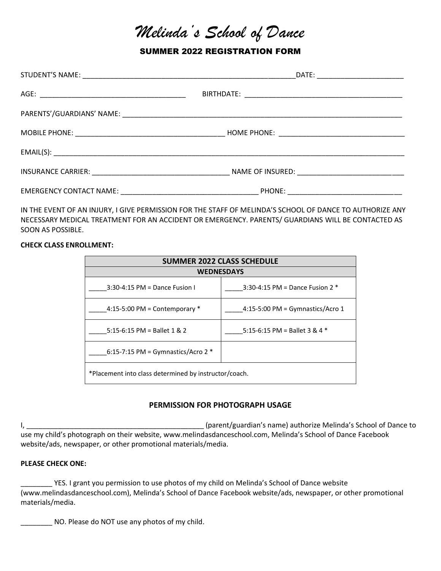# *Melinda's School of Dance*

SUMMER 2022 REGISTRATION FORM

IN THE EVENT OF AN INJURY, I GIVE PERMISSION FOR THE STAFF OF MELINDA'S SCHOOL OF DANCE TO AUTHORIZE ANY NECESSARY MEDICAL TREATMENT FOR AN ACCIDENT OR EMERGENCY. PARENTS/ GUARDIANS WILL BE CONTACTED AS SOON AS POSSIBLE.

#### **CHECK CLASS ENROLLMENT:**

| <b>SUMMER 2022 CLASS SCHEDULE</b>                     |                                    |  |  |
|-------------------------------------------------------|------------------------------------|--|--|
| <b>WEDNESDAYS</b>                                     |                                    |  |  |
| $3:30-4:15$ PM = Dance Fusion I                       | 3:30-4:15 PM = Dance Fusion $2 *$  |  |  |
| 4:15-5:00 PM = Contemporary $*$                       | $4:15-5:00$ PM = Gymnastics/Acro 1 |  |  |
| 5:15-6:15 PM = Ballet 1 & 2                           | 5:15-6:15 PM = Ballet 3 & 4 $*$    |  |  |
| 6:15-7:15 PM = Gymnastics/Acro 2 $*$                  |                                    |  |  |
| *Placement into class determined by instructor/coach. |                                    |  |  |

## **PERMISSION FOR PHOTOGRAPH USAGE**

I, \_\_\_\_\_\_\_\_\_\_\_\_\_\_\_\_\_\_\_\_\_\_\_\_\_\_\_\_\_\_\_\_\_\_\_\_\_\_\_\_\_\_\_\_\_ (parent/guardian's name) authorize Melinda's School of Dance to use my child's photograph on their website, www.melindasdanceschool.com, Melinda's School of Dance Facebook website/ads, newspaper, or other promotional materials/media.

### **PLEASE CHECK ONE:**

YES. I grant you permission to use photos of my child on Melinda's School of Dance website (www.melindasdanceschool.com), Melinda's School of Dance Facebook website/ads, newspaper, or other promotional materials/media.

\_\_\_\_\_\_\_\_ NO. Please do NOT use any photos of my child.